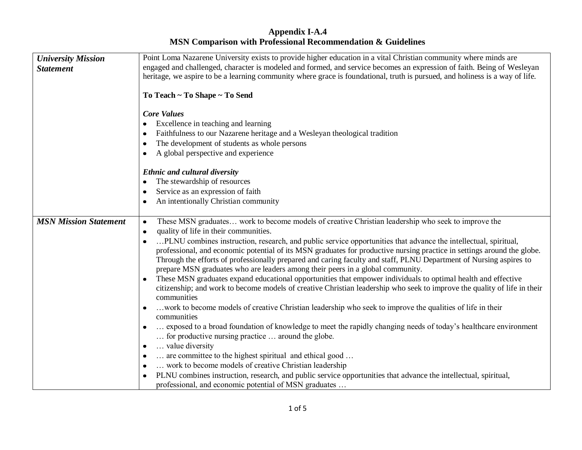| <b>University Mission</b>    | Point Loma Nazarene University exists to provide higher education in a vital Christian community where minds are             |
|------------------------------|------------------------------------------------------------------------------------------------------------------------------|
| <b>Statement</b>             | engaged and challenged, character is modeled and formed, and service becomes an expression of faith. Being of Wesleyan       |
|                              | heritage, we aspire to be a learning community where grace is foundational, truth is pursued, and holiness is a way of life. |
|                              |                                                                                                                              |
|                              | To Teach ~ To Shape ~ To Send                                                                                                |
|                              |                                                                                                                              |
|                              | <b>Core Values</b>                                                                                                           |
|                              | Excellence in teaching and learning                                                                                          |
|                              | Faithfulness to our Nazarene heritage and a Wesleyan theological tradition<br>$\bullet$                                      |
|                              | The development of students as whole persons<br>٠                                                                            |
|                              | A global perspective and experience                                                                                          |
|                              |                                                                                                                              |
|                              | <b>Ethnic and cultural diversity</b>                                                                                         |
|                              | The stewardship of resources                                                                                                 |
|                              | Service as an expression of faith                                                                                            |
|                              | An intentionally Christian community                                                                                         |
|                              |                                                                                                                              |
| <b>MSN Mission Statement</b> | These MSN graduates work to become models of creative Christian leadership who seek to improve the<br>$\bullet$              |
|                              | quality of life in their communities.<br>$\bullet$                                                                           |
|                              | PLNU combines instruction, research, and public service opportunities that advance the intellectual, spiritual,              |
|                              | professional, and economic potential of its MSN graduates for productive nursing practice in settings around the globe.      |
|                              | Through the efforts of professionally prepared and caring faculty and staff, PLNU Department of Nursing aspires to           |
|                              | prepare MSN graduates who are leaders among their peers in a global community.                                               |
|                              | These MSN graduates expand educational opportunities that empower individuals to optimal health and effective                |
|                              | citizenship; and work to become models of creative Christian leadership who seek to improve the quality of life in their     |
|                              | communities                                                                                                                  |
|                              | work to become models of creative Christian leadership who seek to improve the qualities of life in their                    |
|                              | communities                                                                                                                  |
|                              | exposed to a broad foundation of knowledge to meet the rapidly changing needs of today's healthcare environment              |
|                              | for productive nursing practice  around the globe.                                                                           |
|                              | value diversity<br>٠                                                                                                         |
|                              | are committee to the highest spiritual and ethical good<br>$\bullet$                                                         |
|                              | work to become models of creative Christian leadership<br>$\bullet$                                                          |
|                              | PLNU combines instruction, research, and public service opportunities that advance the intellectual, spiritual,              |
|                              | professional, and economic potential of MSN graduates                                                                        |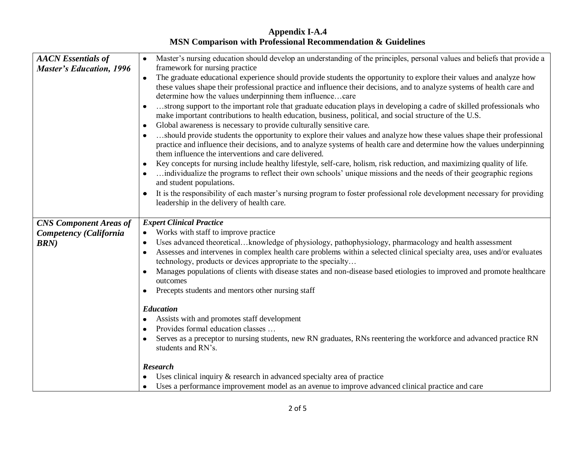| <b>AACN</b> Essentials of<br><b>Master's Education, 1996</b> | Master's nursing education should develop an understanding of the principles, personal values and beliefs that provide a<br>$\bullet$<br>framework for nursing practice                                                                                                                                                           |
|--------------------------------------------------------------|-----------------------------------------------------------------------------------------------------------------------------------------------------------------------------------------------------------------------------------------------------------------------------------------------------------------------------------|
|                                                              | The graduate educational experience should provide students the opportunity to explore their values and analyze how<br>these values shape their professional practice and influence their decisions, and to analyze systems of health care and<br>determine how the values underpinning them influencecare                        |
|                                                              | strong support to the important role that graduate education plays in developing a cadre of skilled professionals who<br>$\bullet$<br>make important contributions to health education, business, political, and social structure of the U.S.<br>Global awareness is necessary to provide culturally sensitive care.<br>$\bullet$ |
|                                                              | should provide students the opportunity to explore their values and analyze how these values shape their professional<br>practice and influence their decisions, and to analyze systems of health care and determine how the values underpinning<br>them influence the interventions and care delivered.                          |
|                                                              | Key concepts for nursing include healthy lifestyle, self-care, holism, risk reduction, and maximizing quality of life.<br>individualize the programs to reflect their own schools' unique missions and the needs of their geographic regions<br>and student populations.                                                          |
|                                                              | It is the responsibility of each master's nursing program to foster professional role development necessary for providing<br>$\bullet$<br>leadership in the delivery of health care.                                                                                                                                              |
| <b>CNS Component Areas of</b>                                | <b>Expert Clinical Practice</b>                                                                                                                                                                                                                                                                                                   |
| Competency (California                                       | Works with staff to improve practice                                                                                                                                                                                                                                                                                              |
| <b>BRN</b> )                                                 | Uses advanced theoreticalknowledge of physiology, pathophysiology, pharmacology and health assessment<br>٠                                                                                                                                                                                                                        |
|                                                              | Assesses and intervenes in complex health care problems within a selected clinical specialty area, uses and/or evaluates<br>$\bullet$<br>technology, products or devices appropriate to the specialty                                                                                                                             |
|                                                              | Manages populations of clients with disease states and non-disease based etiologies to improved and promote healthcare<br>$\bullet$<br>outcomes                                                                                                                                                                                   |
|                                                              | Precepts students and mentors other nursing staff<br>$\bullet$                                                                                                                                                                                                                                                                    |
|                                                              | <b>Education</b>                                                                                                                                                                                                                                                                                                                  |
|                                                              | Assists with and promotes staff development                                                                                                                                                                                                                                                                                       |
|                                                              | Provides formal education classes                                                                                                                                                                                                                                                                                                 |
|                                                              | Serves as a preceptor to nursing students, new RN graduates, RNs reentering the workforce and advanced practice RN<br>$\bullet$<br>students and RN's.                                                                                                                                                                             |
|                                                              | <b>Research</b>                                                                                                                                                                                                                                                                                                                   |
|                                                              | $\bullet$ Uses clinical inquiry & research in advanced specialty area of practice                                                                                                                                                                                                                                                 |
|                                                              | Uses a performance improvement model as an avenue to improve advanced clinical practice and care<br>$\bullet$                                                                                                                                                                                                                     |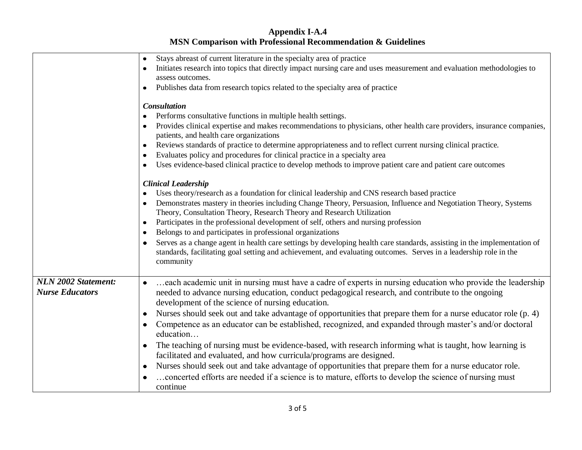|                            | Stays abreast of current literature in the specialty area of practice<br>٠                                                                                                                                                                                 |
|----------------------------|------------------------------------------------------------------------------------------------------------------------------------------------------------------------------------------------------------------------------------------------------------|
|                            | Initiates research into topics that directly impact nursing care and uses measurement and evaluation methodologies to                                                                                                                                      |
|                            | assess outcomes.                                                                                                                                                                                                                                           |
|                            | Publishes data from research topics related to the specialty area of practice                                                                                                                                                                              |
|                            |                                                                                                                                                                                                                                                            |
|                            | <b>Consultation</b>                                                                                                                                                                                                                                        |
|                            | Performs consultative functions in multiple health settings.                                                                                                                                                                                               |
|                            | Provides clinical expertise and makes recommendations to physicians, other health care providers, insurance companies,                                                                                                                                     |
|                            | patients, and health care organizations                                                                                                                                                                                                                    |
|                            | Reviews standards of practice to determine appropriateness and to reflect current nursing clinical practice.<br>٠                                                                                                                                          |
|                            | Evaluates policy and procedures for clinical practice in a specialty area<br>٠                                                                                                                                                                             |
|                            | Uses evidence-based clinical practice to develop methods to improve patient care and patient care outcomes                                                                                                                                                 |
|                            |                                                                                                                                                                                                                                                            |
|                            | <b>Clinical Leadership</b>                                                                                                                                                                                                                                 |
|                            | Uses theory/research as a foundation for clinical leadership and CNS research based practice                                                                                                                                                               |
|                            | Demonstrates mastery in theories including Change Theory, Persuasion, Influence and Negotiation Theory, Systems<br>٠<br>Theory, Consultation Theory, Research Theory and Research Utilization                                                              |
|                            | Participates in the professional development of self, others and nursing profession                                                                                                                                                                        |
|                            | Belongs to and participates in professional organizations<br>٠                                                                                                                                                                                             |
|                            | Serves as a change agent in health care settings by developing health care standards, assisting in the implementation of<br>standards, facilitating goal setting and achievement, and evaluating outcomes. Serves in a leadership role in the<br>community |
| <b>NLN 2002 Statement:</b> | each academic unit in nursing must have a cadre of experts in nursing education who provide the leadership                                                                                                                                                 |
| <b>Nurse Educators</b>     | needed to advance nursing education, conduct pedagogical research, and contribute to the ongoing                                                                                                                                                           |
|                            | development of the science of nursing education.                                                                                                                                                                                                           |
|                            | Nurses should seek out and take advantage of opportunities that prepare them for a nurse educator role (p. 4)<br>٠                                                                                                                                         |
|                            | Competence as an educator can be established, recognized, and expanded through master's and/or doctoral<br>education                                                                                                                                       |
|                            |                                                                                                                                                                                                                                                            |
|                            | The teaching of nursing must be evidence-based, with research informing what is taught, how learning is                                                                                                                                                    |
|                            | facilitated and evaluated, and how curricula/programs are designed.                                                                                                                                                                                        |
|                            | Nurses should seek out and take advantage of opportunities that prepare them for a nurse educator role.<br>٠                                                                                                                                               |
|                            | concerted efforts are needed if a science is to mature, efforts to develop the science of nursing must                                                                                                                                                     |
|                            | continue                                                                                                                                                                                                                                                   |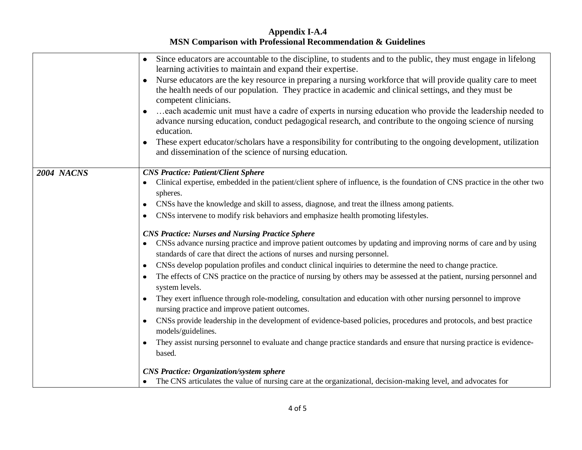|            | Since educators are accountable to the discipline, to students and to the public, they must engage in lifelong<br>$\bullet$<br>learning activities to maintain and expand their expertise.                                                        |
|------------|---------------------------------------------------------------------------------------------------------------------------------------------------------------------------------------------------------------------------------------------------|
|            | Nurse educators are the key resource in preparing a nursing workforce that will provide quality care to meet<br>the health needs of our population. They practice in academic and clinical settings, and they must be<br>competent clinicians.    |
|            | each academic unit must have a cadre of experts in nursing education who provide the leadership needed to<br>$\bullet$<br>advance nursing education, conduct pedagogical research, and contribute to the ongoing science of nursing<br>education. |
|            | These expert educator/scholars have a responsibility for contributing to the ongoing development, utilization<br>and dissemination of the science of nursing education.                                                                           |
| 2004 NACNS | <b>CNS Practice: Patient/Client Sphere</b>                                                                                                                                                                                                        |
|            | Clinical expertise, embedded in the patient/client sphere of influence, is the foundation of CNS practice in the other two<br>spheres.                                                                                                            |
|            | CNSs have the knowledge and skill to assess, diagnose, and treat the illness among patients.<br>٠                                                                                                                                                 |
|            | CNSs intervene to modify risk behaviors and emphasize health promoting lifestyles.<br>$\bullet$                                                                                                                                                   |
|            | <b>CNS Practice: Nurses and Nursing Practice Sphere</b>                                                                                                                                                                                           |
|            | CNSs advance nursing practice and improve patient outcomes by updating and improving norms of care and by using<br>standards of care that direct the actions of nurses and nursing personnel.                                                     |
|            | CNSs develop population profiles and conduct clinical inquiries to determine the need to change practice.<br>٠                                                                                                                                    |
|            | The effects of CNS practice on the practice of nursing by others may be assessed at the patient, nursing personnel and<br>system levels.                                                                                                          |
|            | They exert influence through role-modeling, consultation and education with other nursing personnel to improve<br>nursing practice and improve patient outcomes.                                                                                  |
|            | CNSs provide leadership in the development of evidence-based policies, procedures and protocols, and best practice<br>models/guidelines.                                                                                                          |
|            | They assist nursing personnel to evaluate and change practice standards and ensure that nursing practice is evidence-<br>based.                                                                                                                   |
|            | <b>CNS Practice: Organization/system sphere</b>                                                                                                                                                                                                   |
|            | • The CNS articulates the value of nursing care at the organizational, decision-making level, and advocates for                                                                                                                                   |